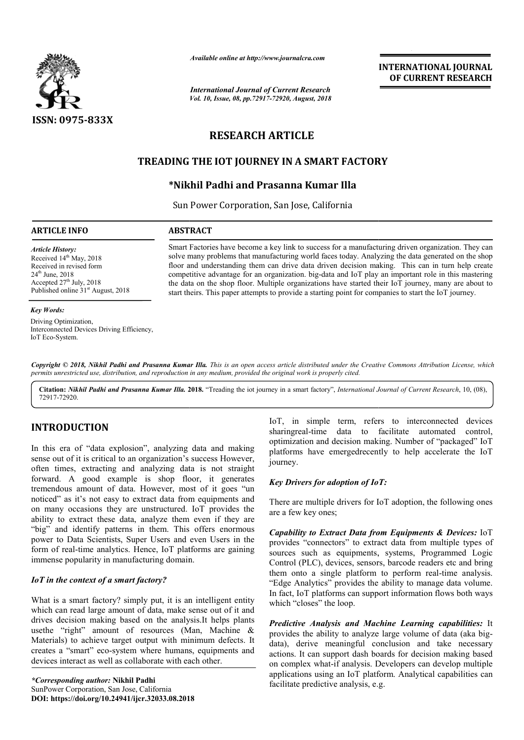

*Available online at http://www.journalcra.com*

*International Journal of Current Research Vol. 10, Issue, 08, pp.72917-72920, August, 2018* **INTERNATIONAL JOURNAL OF CURRENT RESEARCH**

# **RESEARCH ARTICLE**

## **TREADING THE IOT JOURNEY IN A SMART FACTORY FACTORY**

## **\*Nikhil Padhi and Prasanna Kumar Illa Nikhil**

Sun Power Corporation, San Jose, California

### **ARTICLE INFO ABSTRACT**

*Article History:* Received 14<sup>th</sup> May, 2018 Received in revised form 24th June, 2018 Accepted  $27<sup>th</sup>$  July, 2018 Published online 31<sup>st</sup> August, 2018

#### *Key Words:*

Driving Optimization, Interconnected Devices Driving Efficiency, IoT Eco-System.

Smart Factories have become a key link to success for a manufacturing driven organization. They can solve many problems that manufacturing world faces today. Analyzing the data generated on the shop floor and understanding them can drive data driven decision making. This can in turn help create competitive advantage for an organization. big big-data and IoT play the data on the shop floor. Multiple organizations have started their IoT journey, many are about to the data on the shop floor. Multiple organizations have started their IoT journey, many are abstart theirs. This paper attempts to provide a starting point for companies to start the IoT journey. Smart Factories have become a key link to success for a manufacturing driven organization. They can solve many problems that manufacturing world faces today. Analyzing the data generated on the shop floor and understanding

Copyright © 2018, Nikhil Padhi and Prasanna Kumar Illa. This is an open access article distributed under the Creative Commons Attribution License, which permits unrestricted use, distribution, and reproduction in any medium, provided the original work is properly cited.

**Citation:** *Nikhil Padhi and Prasanna Kumar Illa.* **201 2018.** "Treading the iot journey in a smart factory", *International Journal of Current Research Research*, 10, (08), 72917-72920.

## **INTRODUCTION**

In this era of "data explosion", analyzing data and making sense out of it is critical to an organization's success However, often times, extracting and analyzing data is not straight forward. A good example is shop floor, it generates tremendous amount of data. However, most of it goes "un noticed" as it's not easy to extract data from equipments and tremendous amount of data. However, most of it goes "un<br>noticed" as it's not easy to extract data from equipments and<br>on many occasions they are unstructured. IoT provides the ability to extract these data, analyze them even if they are "big" and identify patterns in them. This offers enormous power to Data Scientists, Super Users and even Users in the form of real-time analytics. Hence, IoT platforms are gaining immense popularity in manufacturing domain.

## *IoT in the context of a smart factory?*

What is a smart factory? simply put, it is an intelligent entity which can read large amount of data, make sense out of it and drives decision making based on the analysis.It helps plants usethe "right" amount of resources (Man, Machine & Materials) to achieve target output with minimum defects. It creates a "smart" eco-system where humans, equipments and devices interact as well as collaborate with each other. time analytics. Hence, IoT platforms are gaining<br>ularity in manufacturing domain.<br> **ntext of a smart factory?**<br>
hart factory? simply put, it is an intelligent entity<br>
and large amount of data, make sense out of it and<br>
no sharingreal-time data to facilitate automated control, optimization and decision making. Number of "packaged" IoT platforms have emergedrecently to help accelerate the IoT journey. IoT, in simple term, refers to interconnected devices time data to facilitate automated control,<br>n and decision making. Number of "packaged" IoT<br>aave emergedrecently to help accelerate the IoT

## *Key Drivers for adoption of IoT:*

There are multiple drivers for IoT adoption, the following ones are a few key ones; *Capability to Extract Data from Equipments & Devices:* IoT:<br> *Capability to Extract Data from Equipments & Devices:* IoT:

16T, in simple term, refers to interconnected<br>
sprimization and the conflict and the conflicter and to the conflict<br>
tion's success However,<br>
g data is not straight<br>
proper floor, the generates<br>
gradia is not straight<br>
pro provides "connectors" to extract data from multiple types of sources such as equipments, systems, Programmed Logic Control (PLC), devices, sensors, barcode readers etc and bring them onto a single platform to perform real-time analysis. "Edge Analytics" provides the ability to manage data volume. "Edge Analytics" provides the ability to manage data volume.<br>In fact, IoT platforms can support information flows both ways which "closes" the loop. provides "connectors" to extract data from multiple types of sources such as equipments, systems, Programmed Logic Control (PLC), devices, sensors, barcode readers etc and bring them onto a single platform to perform real-INTERNATIONAL JOURNAL<br> **IDENTERNATIONAL JOURNAL**<br> **IDENTERNATIONAL JOURNAL**<br> **IDENTERNATION 2018**<br> **IMART FACTORY**<br> **IMART FACTORY**<br> **IMART FACTORY**<br> **IMART FACTORY**<br> **IMART FACTORY**<br> **IMART FACTORY**<br> **IMART FACTORY**<br> **IMA** 

**Predictive Analysis and Machine Learning capabilities: It** provides the ability to analyze large volume of data (aka bigdata), derive meaningful conclusion and take necessary actions. It can support dash boards for decision making based on complex what-if analysis. Dev applications using an IoT platform. Analytical capabilities can facilitate predictive analysis, e.g. derive meaningful conclusion and take necessary<br>It can support dash boards for decision making based<br>plex what-if analysis. Developers can develop multiple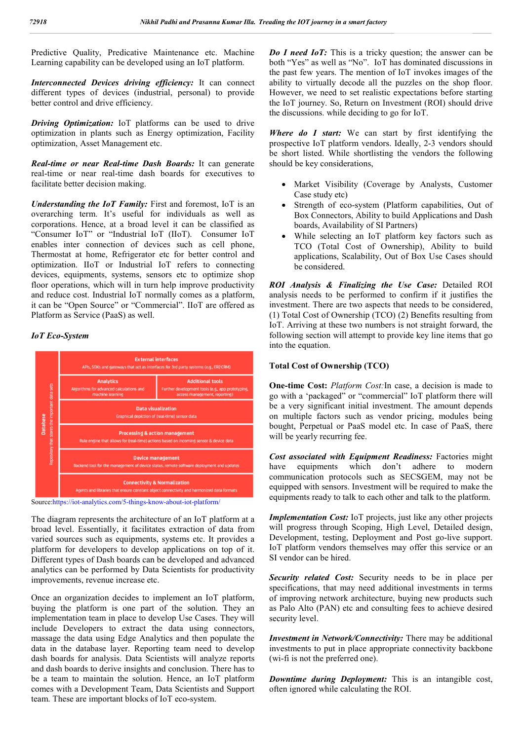Predictive Quality, Predicative Maintenance etc. Machine Learning capability can be developed using an IoT platform.

*Interconnected Devices driving efficiency:* It can connect different types of devices (industrial, personal) to provide better control and drive efficiency.

*Driving Optimization:* IoT platforms can be used to drive optimization in plants such as Energy optimization, Facility optimization, Asset Management etc.

*Real-time or near Real-time Dash Boards:* It can generate real-time or near real-time dash boards for executives to facilitate better decision making.

*Understanding the IoT Family:* First and foremost, IoT is an overarching term. It's useful for individuals as well as corporations. Hence, at a broad level it can be classified as "Consumer IoT" or "Industrial IoT (IIoT). Consumer IoT enables inter connection of devices such as cell phone, Thermostat at home, Refrigerator etc for better control and optimization. IIoT or Industrial IoT refers to connecting devices, equipments, systems, sensors etc to optimize shop floor operations, which will in turn help improve productivity and reduce cost. Industrial IoT normally comes as a platform, it can be "Open Source" or "Commercial". IIoT are offered as Platform as Service (PaaS) as well.

#### *IoT Eco-System*





The diagram represents the architecture of an IoT platform at a broad level. Essentially, it facilitates extraction of data from varied sources such as equipments, systems etc. It provides a platform for developers to develop applications on top of it. Different types of Dash boards can be developed and advanced analytics can be performed by Data Scientists for productivity improvements, revenue increase etc.

Once an organization decides to implement an IoT platform, buying the platform is one part of the solution. They an implementation team in place to develop Use Cases. They will include Developers to extract the data using connectors, massage the data using Edge Analytics and then populate the data in the database layer. Reporting team need to develop dash boards for analysis. Data Scientists will analyze reports and dash boards to derive insights and conclusion. There has to be a team to maintain the solution. Hence, an IoT platform comes with a Development Team, Data Scientists and Support team. These are important blocks of IoT eco-system.

*Do I need IoT:* This is a tricky question; the answer can be both "Yes" as well as "No". IoT has dominated discussions in the past few years. The mention of IoT invokes images of the ability to virtually decode all the puzzles on the shop floor. However, we need to set realistic expectations before starting the IoT journey. So, Return on Investment (ROI) should drive the discussions. while deciding to go for IoT.

*Where do I start:* We can start by first identifying the prospective IoT platform vendors. Ideally, 2-3 vendors should be short listed. While shortlisting the vendors the following should be key considerations,

- Market Visibility (Coverage by Analysts, Customer Case study etc)
- Strength of eco-system (Platform capabilities, Out of Box Connectors, Ability to build Applications and Dash boards, Availability of SI Partners)
- While selecting an IoT platform key factors such as TCO (Total Cost of Ownership), Ability to build applications, Scalability, Out of Box Use Cases should be considered.

*ROI Analysis & Finalizing the Use Case:* Detailed ROI analysis needs to be performed to confirm if it justifies the investment. There are two aspects that needs to be considered, (1) Total Cost of Ownership (TCO) (2) Benefits resulting from IoT. Arriving at these two numbers is not straight forward, the following section will attempt to provide key line items that go into the equation.

#### **Total Cost of Ownership (TCO)**

**One-time Cost:** *Platform Cost:*In case, a decision is made to go with a 'packaged" or "commercial" IoT platform there will be a very significant initial investment. The amount depends on multiple factors such as vendor pricing, modules being bought, Perpetual or PaaS model etc. In case of PaaS, there will be yearly recurring fee.

**Cost associated with Equipment Readiness:** Factories might have equipments which don't adhere to modern have equipments which don't adhere to modern communication protocols such as SECSGEM, may not be equipped with sensors. Investment will be required to make the equipments ready to talk to each other and talk to the platform.

*Implementation Cost:* IoT projects, just like any other projects will progress through Scoping, High Level, Detailed design, Development, testing, Deployment and Post go-live support. IoT platform vendors themselves may offer this service or an SI vendor can be hired.

*Security related Cost:* Security needs to be in place per specifications, that may need additional investments in terms of improving network architecture, buying new products such as Palo Alto (PAN) etc and consulting fees to achieve desired security level.

*Investment in Network/Connectivity:* There may be additional investments to put in place appropriate connectivity backbone (wi-fi is not the preferred one).

*Downtime during Deployment:* This is an intangible cost, often ignored while calculating the ROI.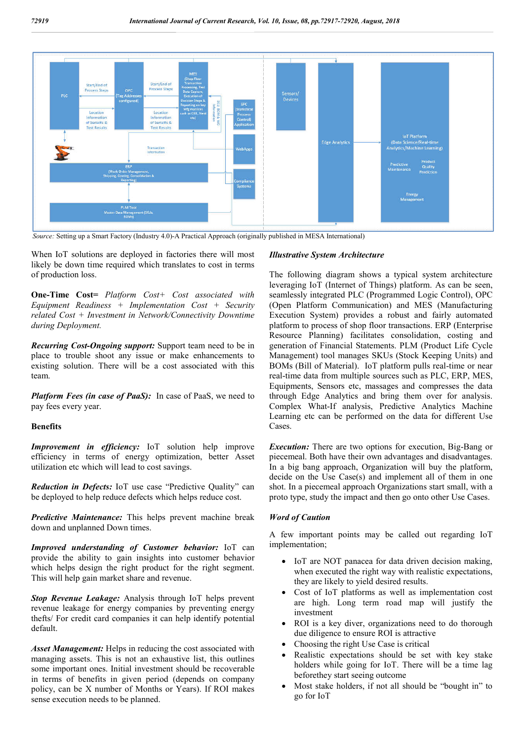

 *Source:* Setting up a Smart Factory (Industry 4.0)-A Practical Approach (originally published in MESA International)

When IoT solutions are deployed in factories there will most likely be down time required which translates to cost in terms of production loss.

**One-Time Cost=** *Platform Cost+ Cost associated with Equipment Readiness + Implementation Cost + Security related Cost + Investment in Network/Connectivity Downtime during Deployment.*

*Recurring Cost-Ongoing support:* Support team need to be in place to trouble shoot any issue or make enhancements to existing solution. There will be a cost associated with this team.

*Platform Fees (in case of PaaS):* In case of PaaS, we need to pay fees every year.

## **Benefits**

*Improvement in efficiency:* IoT solution help improve efficiency in terms of energy optimization, better Asset utilization etc which will lead to cost savings.

*Reduction in Defects:* IoT use case "Predictive Quality" can be deployed to help reduce defects which helps reduce cost.

*Predictive Maintenance:* This helps prevent machine break down and unplanned Down times.

*Improved understanding of Customer behavior:* IoT can provide the ability to gain insights into customer behavior which helps design the right product for the right segment. This will help gain market share and revenue.

*Stop Revenue Leakage:* Analysis through IoT helps prevent revenue leakage for energy companies by preventing energy thefts/ For credit card companies it can help identify potential default.

*Asset Management:* Helps in reducing the cost associated with managing assets. This is not an exhaustive list, this outlines some important ones. Initial investment should be recoverable in terms of benefits in given period (depends on company policy, can be X number of Months or Years). If ROI makes sense execution needs to be planned.

### *Illustrative System Architecture*

The following diagram shows a typical system architecture leveraging IoT (Internet of Things) platform. As can be seen, seamlessly integrated PLC (Programmed Logic Control), OPC (Open Platform Communication) and MES (Manufacturing Execution System) provides a robust and fairly automated platform to process of shop floor transactions. ERP (Enterprise Resource Planning) facilitates consolidation, costing and generation of Financial Statements. PLM (Product Life Cycle Management) tool manages SKUs (Stock Keeping Units) and BOMs (Bill of Material). IoT platform pulls real-time or near real-time data from multiple sources such as PLC, ERP, MES, Equipments, Sensors etc, massages and compresses the data through Edge Analytics and bring them over for analysis. Complex What-If analysis, Predictive Analytics Machine Learning etc can be performed on the data for different Use Cases.

*Execution:* There are two options for execution, Big-Bang or piecemeal. Both have their own advantages and disadvantages. In a big bang approach, Organization will buy the platform, decide on the Use Case(s) and implement all of them in one shot. In a piecemeal approach Organizations start small, with a proto type, study the impact and then go onto other Use Cases.

## *Word of Caution*

A few important points may be called out regarding IoT implementation;

- IoT are NOT panacea for data driven decision making, when executed the right way with realistic expectations, they are likely to yield desired results.
- Cost of IoT platforms as well as implementation cost are high. Long term road map will justify the investment
- ROI is a key diver, organizations need to do thorough due diligence to ensure ROI is attractive
- Choosing the right Use Case is critical
- Realistic expectations should be set with key stake holders while going for IoT. There will be a time lag beforethey start seeing outcome
- Most stake holders, if not all should be "bought in" to go for IoT